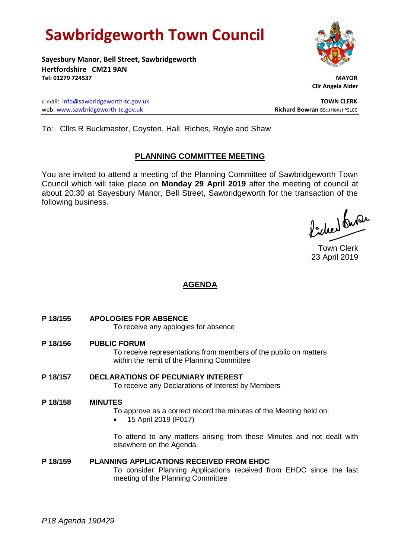# **Sawbridgeworth Town Council**

**Sayesbury Manor, Bell Street, Sawbridgeworth Hertfordshire CM21 9AN Tel: 01279 724537 MAYOR**

e-mail: [info@sawbridgeworth-tc.gov.uk](mailto:info@sawbridgeworth-tc.gov.uk) **TOWN CLERK** web: www.sawbridgeworth-tc.gov.uk<br> **Richard Bowran** BSc.(Hons) PSLCC

 **Cllr Angela Alder**

To: Cllrs R Buckmaster, Coysten, Hall, Riches, Royle and Shaw

## **PLANNING COMMITTEE MEETING**

You are invited to attend a meeting of the Planning Committee of Sawbridgeworth Town Council which will take place on **Monday 29 April 2019** after the meeting of council at about 20:30 at Sayesbury Manor, Bell Street, Sawbridgeworth for the transaction of the following business.

fidee buse

Town Clerk 23 April 2019

## **AGENDA**

**P 18/155 APOLOGIES FOR ABSENCE**

To receive any apologies for absence

**P 18/156 PUBLIC FORUM**

To receive representations from members of the public on matters within the remit of the Planning Committee

**P 18/157 DECLARATIONS OF PECUNIARY INTEREST** To receive any Declarations of Interest by Members

## **P 18/158 MINUTES**

- To approve as a correct record the minutes of the Meeting held on:
- 15 April 2019 (P017)

To attend to any matters arising from these Minutes and not dealt with elsewhere on the Agenda.

## **P 18/159 PLANNING APPLICATIONS RECEIVED FROM EHDC**

To consider Planning Applications received from EHDC since the last meeting of the Planning Committee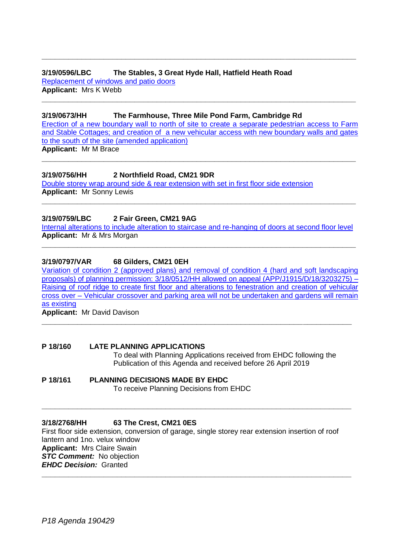**3/19/0596/LBC The Stables, 3 Great Hyde Hall, Hatfield Heath Road** [Replacement of windows and patio doors](https://publicaccess.eastherts.gov.uk/online-applications/applicationDetails.do?activeTab=documents&keyVal=POKHNVGL00X00) **Applicant:** Mrs K Webb

### **3/19/0673/HH The Farmhouse, Three Mile Pond Farm, Cambridge Rd**

[Erection of a new boundary wall to north of site to create a separate pedestrian access to Farm](https://publicaccess.eastherts.gov.uk/online-applications/applicationDetails.do?activeTab=documents&keyVal=PP4BNUGLIOS00)  [and Stable Cottages; and creation of a new vehicular access with new boundary walls and gates](https://publicaccess.eastherts.gov.uk/online-applications/applicationDetails.do?activeTab=documents&keyVal=PP4BNUGLIOS00)  to the south of the [site \(amended application\)](https://publicaccess.eastherts.gov.uk/online-applications/applicationDetails.do?activeTab=documents&keyVal=PP4BNUGLIOS00) **Applicant:** Mr M Brace

**\_\_\_\_\_\_\_\_\_\_\_\_\_\_\_\_\_\_\_\_\_\_\_\_\_\_\_\_\_\_\_\_\_\_\_\_\_\_\_\_\_\_\_\_\_\_\_\_\_\_\_\_\_\_\_\_\_\_\_\_\_\_\_\_\_\_\_\_\_\_\_**

**\_\_\_\_\_\_\_\_\_\_\_\_\_\_\_\_\_\_\_\_\_\_\_\_\_\_\_\_\_\_\_\_\_\_\_\_\_\_\_\_\_\_\_\_\_\_\_\_\_\_\_\_\_\_\_\_\_\_\_\_\_\_\_\_\_\_\_\_\_\_\_**

**\_\_\_\_\_\_\_\_\_\_\_\_\_\_\_\_\_\_\_\_\_\_\_\_\_\_\_\_\_\_\_\_\_\_\_\_\_\_\_\_\_\_\_\_\_\_\_\_\_\_\_\_\_\_\_\_\_\_\_\_\_\_\_\_\_\_\_\_\_\_\_**

**3/19/0756/HH 2 Northfield Road, CM21 9DR** 

[Double storey wrap around side & rear extension with set in first floor side extension](https://publicaccess.eastherts.gov.uk/online-applications/applicationDetails.do?activeTab=documents&keyVal=PPOM6RGLIUL00) **Applicant:** Mr Sonny Lewis

### **3/19/0759/LBC 2 Fair Green, CM21 9AG**

[Internal alterations to include alteration to staircase and re-hanging of doors at second floor level](https://publicaccess.eastherts.gov.uk/online-applications/applicationDetails.do?activeTab=documents&keyVal=PPOXAEGLIUT00) **Applicant:** Mr & Mrs Morgan **\_\_\_\_\_\_\_\_\_\_\_\_\_\_\_\_\_\_\_\_\_\_\_\_\_\_\_\_\_\_\_\_\_\_\_\_\_\_\_\_\_\_\_\_\_\_\_\_\_\_\_\_\_\_\_\_\_\_\_\_\_\_\_\_\_\_\_\_\_\_\_**

**\_\_\_\_\_\_\_\_\_\_\_\_\_\_\_\_\_\_\_\_\_\_\_\_\_\_\_\_\_\_\_\_\_\_\_\_\_\_\_\_\_\_\_\_\_\_\_\_\_\_\_\_\_\_\_\_\_\_\_\_\_\_\_\_\_\_\_\_\_\_\_**

### **3/19/0797/VAR 68 Gilders, CM21 0EH**

[Variation of condition 2 \(approved plans\) and removal of condition 4 \(hard and soft landscaping](https://publicaccess.eastherts.gov.uk/online-applications/applicationDetails.do?activeTab=documents&keyVal=PPUHBFGLIXC00)  [proposals\) of planning permission: 3/18/0512/HH allowed on appeal \(APP/J1915/D/18/3203275\) –](https://publicaccess.eastherts.gov.uk/online-applications/applicationDetails.do?activeTab=documents&keyVal=PPUHBFGLIXC00) [Raising of roof ridge to create first floor and alterations to fenestration and creation of vehicular](https://publicaccess.eastherts.gov.uk/online-applications/applicationDetails.do?activeTab=documents&keyVal=PPUHBFGLIXC00)  cross over – [Vehicular crossover and parking area will not be undertaken and gardens will remain](https://publicaccess.eastherts.gov.uk/online-applications/applicationDetails.do?activeTab=documents&keyVal=PPUHBFGLIXC00)  [as existing](https://publicaccess.eastherts.gov.uk/online-applications/applicationDetails.do?activeTab=documents&keyVal=PPUHBFGLIXC00)

**\_\_\_\_\_\_\_\_\_\_\_\_\_\_\_\_\_\_\_\_\_\_\_\_\_\_\_\_\_\_\_\_\_\_\_\_\_\_\_\_\_\_\_\_\_\_\_\_\_\_\_\_\_\_\_\_\_\_\_\_\_\_\_\_\_\_\_\_\_\_**

**Applicant:** Mr David Davison

## **P 18/160 LATE PLANNING APPLICATIONS**

To deal with Planning Applications received from EHDC following the Publication of this Agenda and received before 26 April 2019

## **P 18/161 PLANNING DECISIONS MADE BY EHDC**

To receive Planning Decisions from EHDC

#### **3/18/2768/HH 63 The Crest, CM21 0ES**

First floor side extension, conversion of garage, single storey rear extension insertion of roof lantern and 1no. velux window **Applicant:** Mrs Claire Swain **STC Comment:** No objection *EHDC Decision:* Granted **\_\_\_\_\_\_\_\_\_\_\_\_\_\_\_\_\_\_\_\_\_\_\_\_\_\_\_\_\_\_\_\_\_\_\_\_\_\_\_\_\_\_\_\_\_\_\_\_\_\_\_\_\_\_\_\_\_\_\_\_\_\_\_\_\_\_\_\_\_\_**

**\_\_\_\_\_\_\_\_\_\_\_\_\_\_\_\_\_\_\_\_\_\_\_\_\_\_\_\_\_\_\_\_\_\_\_\_\_\_\_\_\_\_\_\_\_\_\_\_\_\_\_\_\_\_\_\_\_\_\_\_\_\_\_\_\_\_\_\_\_\_**